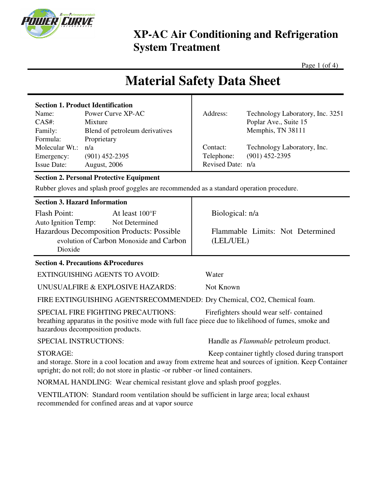

Page 1 (of 4)

# **Material Safety Data Sheet**

| <b>Section 1. Product Identification</b> |                                |                   |                                  |
|------------------------------------------|--------------------------------|-------------------|----------------------------------|
| Name:                                    | Power Curve XP-AC              | Address:          | Technology Laboratory, Inc. 3251 |
| $CAS#$ :                                 | Mixture                        |                   | Poplar Ave., Suite 15            |
| Family:                                  | Blend of petroleum derivatives |                   | Memphis, TN 38111                |
| Formula:                                 | Proprietary                    |                   |                                  |
| Molecular Wt.:                           | n/a                            | Contact:          | Technology Laboratory, Inc.      |
| Emergency:                               | $(901)$ 452-2395               | Telephone:        | $(901)$ 452-2395                 |
| <b>Issue Date:</b>                       | <b>August, 2006</b>            | Revised Date: n/a |                                  |

### **Section 2. Personal Protective Equipment**

Rubber gloves and splash proof goggles are recommended as a standard operation procedure.

|  |  | <b>Section 3. Hazard Information</b> |
|--|--|--------------------------------------|
|--|--|--------------------------------------|

| <b>Flash Point:</b>                        | At least 100°F |  |  |  |
|--------------------------------------------|----------------|--|--|--|
| Auto Ignition Temp:                        | Not Determined |  |  |  |
| Hazardous Decomposition Products: Possible |                |  |  |  |
| evolution of Carbon Monoxide and Carbon    |                |  |  |  |
| Dioxide                                    |                |  |  |  |

#### **Section 4. Precautions &Procedures**

EXTINGUISHING AGENTS TO AVOID: Water

UNUSUALFIRE & EXPLOSIVE HAZARDS: Not Known

FIRE EXTINGUISHING AGENTSRECOMMENDED: Dry Chemical, CO2, Chemical foam.

SPECIAL FIRE FIGHTING PRECAUTIONS: Firefighters should wear self- contained breathing apparatus in the positive mode with full face piece due to likelihood of fumes, smoke and hazardous decomposition products.

SPECIAL INSTRUCTIONS: Handle as *Flammable* petroleum product.

Flammable Limits: Not Determined

STORAGE: Keep container tightly closed during transport and storage. Store in a cool location and away from extreme heat and sources of ignition. Keep Container upright; do not roll; do not store in plastic -or rubber -or lined containers.

NORMAL HANDLING: Wear chemical resistant glove and splash proof goggles.

VENTILATION: Standard room ventilation should be sufficient in large area; local exhaust recommended for confined areas and at vapor source

Biological: n/a

(LEL/UEL)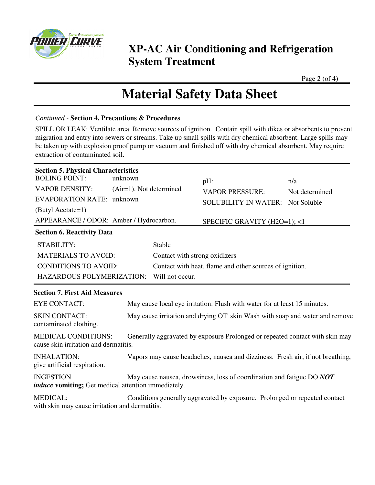

Page 2 (of 4)

## **Material Safety Data Sheet**

#### *Continued -* **Section 4. Precautions & Procedures**

SPILL OR LEAK: Ventilate area. Remove sources of ignition. Contain spill with dikes or absorbents to prevent migration and entry into sewers or streams. Take up small spills with dry chemical absorbent. Large spills may be taken up with explosion proof pump or vacuum and finished off with dry chemical absorbent. May require extraction of contaminated soil.

| <b>Section 5. Physical Characteristics</b><br><b>BOLING POINT:</b><br><b>VAPOR DENSITY:</b><br><b>EVAPORATION RATE: unknown</b><br>(Butyl Acetate=1)<br>APPEARANCE / ODOR: Amber / Hydrocarbon. | unknown<br>$(Air=1)$ . Not determined | pH:<br><b>VAPOR PRESSURE:</b><br><b>SOLUBILITY IN WATER:</b> Not Soluble<br>SPECIFIC GRAVITY (H2O=1); <1                                                       | n/a<br>Not determined |
|-------------------------------------------------------------------------------------------------------------------------------------------------------------------------------------------------|---------------------------------------|----------------------------------------------------------------------------------------------------------------------------------------------------------------|-----------------------|
| <b>Section 6. Reactivity Data</b><br>STABILITY:<br><b>MATERIALS TO AVOID:</b><br><b>CONDITIONS TO AVOID:</b><br>HAZARDOUS POLYMERIZATION:                                                       | Stable<br>Will not occur.             | Contact with strong oxidizers<br>Contact with heat, flame and other sources of ignition.                                                                       |                       |
| <b>Section 7. First Aid Measures</b><br><b>EYE CONTACT:</b><br><b>SKIN CONTACT:</b><br>contaminated clothing.                                                                                   |                                       | May cause local eye irritation: Flush with water for at least 15 minutes.<br>May cause irritation and drying OT' skin Wash with soap and water and remove      |                       |
| <b>MEDICAL CONDITIONS:</b><br>cause skin irritation and dermatitis.<br><b>INHALATION:</b>                                                                                                       |                                       | Generally aggravated by exposure Prolonged or repeated contact with skin may<br>Vapors may cause headaches, nausea and dizziness. Fresh air; if not breathing, |                       |
| give artificial respiration.<br><b>INGESTION</b><br><i>induce</i> vomiting; Get medical attention immediately.                                                                                  |                                       | May cause nausea, drowsiness, loss of coordination and fatigue DO NOT                                                                                          |                       |
| <b>MEDICAL:</b><br>with skin may cause irritation and dermatitis.                                                                                                                               |                                       | Conditions generally aggravated by exposure. Prolonged or repeated contact                                                                                     |                       |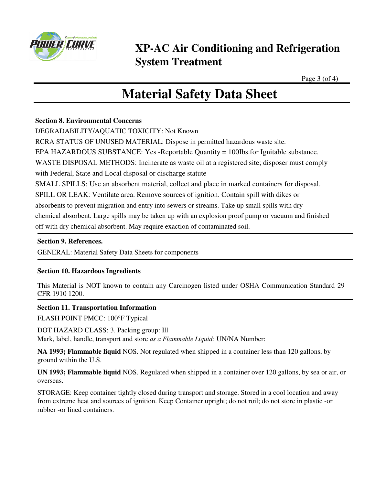

Page 3 (of 4)

# **Material Safety Data Sheet**

### **Section 8. Environmental Concerns**

DEGRADABILITY/AQUATIC TOXICITY: Not Known

RCRA STATUS OF UNUSED MATERIAL: Dispose in permitted hazardous waste site.

EPA HAZARDOUS SUBSTANCE: Yes -Reportable Quantity = 100Ibs.for Ignitable substance.

WASTE DISPOSAL METHODS: Incinerate as waste oil at a registered site; disposer must comply

with Federal, State and Local disposal or discharge statute

SMALL SPILLS: Use an absorbent material, collect and place in marked containers for disposal.

SPILL OR LEAK: Ventilate area. Remove sources of ignition. Contain spill with dikes or

absorbents to prevent migration and entry into sewers or streams. Take up small spills with dry

chemical absorbent. Large spills may be taken up with an explosion proof pump or vacuum and finished

off with dry chemical absorbent. May require exaction of contaminated soil.

#### **Section 9. References.**

GENERAL: Material Safety Data Sheets for components

### **Section 10. Hazardous Ingredients**

This Material is NOT known to contain any Carcinogen listed under OSHA Communication Standard 29 CFR 1910 1200.

### **Section 11. Transportation Information**

FLASH POINT PMCC: 100°F Typical

DOT HAZARD CLASS: 3. Packing group: Ill

Mark, label, handle, transport and store *as a Flammable Liquid:* UN/NA Number:

**NA 1993; Flammable liquid** NOS. Not regulated when shipped in a container less than 120 gallons, by ground within the U.S.

**UN 1993; Flammable liquid** NOS. Regulated when shipped in a container over 120 gallons, by sea or air, or overseas.

STORAGE: Keep container tightly closed during transport and storage. Stored in a cool location and away from extreme heat and sources of ignition. Keep Container upright; do not roil; do not store in plastic -or rubber -or lined containers.